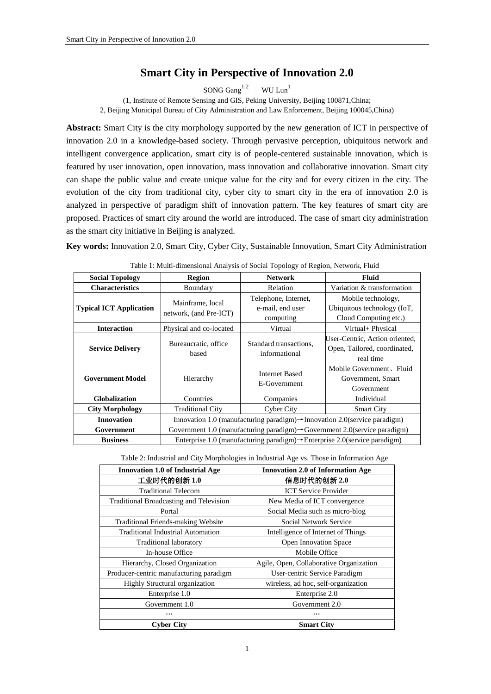# **Smart City in Perspective of Innovation 2.0**

SONG  $Gang<sup>1,2</sup>$  WU Lun<sup>1</sup>

(1, Institute of Remote Sensing and GIS, Peking University, Beijing 100871,China;

2, Beijing Municipal Bureau of City Administration and Law Enforcement, Beijing 100045,China)

**Abstract:** Smart City is the city morphology supported by the new generation of ICT in perspective of innovation 2.0 in a knowledge-based society. Through pervasive perception, ubiquitous network and intelligent convergence application, smart city is of people-centered sustainable innovation, which is featured by user innovation, open innovation, mass innovation and collaborative innovation. Smart city can shape the public value and create unique value for the city and for every citizen in the city. The evolution of the city from traditional city, cyber city to smart city in the era of innovation 2.0 is analyzed in perspective of paradigm shift of innovation pattern. The key features of smart city are proposed. Practices of smart city around the world are introduced. The case of smart city administration as the smart city initiative in Beijing is analyzed.

**Key words:** Innovation 2.0, Smart City, Cyber City, Sustainable Innovation, Smart City Administration

| <b>Social Topology</b>                                                       | Region                                                                                  | <b>Network</b>                                        | <b>Fluid</b>                                                                |
|------------------------------------------------------------------------------|-----------------------------------------------------------------------------------------|-------------------------------------------------------|-----------------------------------------------------------------------------|
| <b>Characteristics</b>                                                       | Boundary                                                                                |                                                       | Variation & transformation                                                  |
| Mainframe, local<br><b>Typical ICT Application</b><br>network, (and Pre-ICT) |                                                                                         | Telephone, Internet,<br>e-mail, end user<br>computing | Mobile technology,<br>Ubiquitous technology (IoT,<br>Cloud Computing etc.)  |
| <b>Interaction</b>                                                           | Physical and co-located                                                                 | Virtual                                               | Virtual+ Physical                                                           |
| <b>Service Delivery</b>                                                      | Bureaucratic, office<br>based                                                           | Standard transactions.<br>informational               | User-Centric, Action oriented,<br>Open, Tailored, coordinated,<br>real time |
| <b>Government Model</b>                                                      | Hierarchy                                                                               | <b>Internet Based</b><br>E-Government                 | Mobile Government, Fluid<br>Government, Smart<br>Government                 |
| <b>Globalization</b>                                                         | Countries<br>Companies                                                                  |                                                       | Individual                                                                  |
| <b>City Morphology</b><br><b>Traditional City</b>                            |                                                                                         | Cyber City                                            | <b>Smart City</b>                                                           |
| <b>Innovation</b>                                                            | Innovation 1.0 (manufacturing paradigm) -> Innovation 2.0 (service paradigm)            |                                                       |                                                                             |
| Government                                                                   | Government 1.0 (manufacturing paradigm) $\rightarrow$ Government 2.0(service paradigm)  |                                                       |                                                                             |
| <b>Business</b>                                                              | Enterprise 1.0 (manufacturing paradigm) $\rightarrow$ Enterprise 2.0 (service paradigm) |                                                       |                                                                             |

| Table 1: Multi-dimensional Analysis of Social Topology of Region, Network, Fluid |  |  |
|----------------------------------------------------------------------------------|--|--|
|                                                                                  |  |  |

Table 2: Industrial and City Morphologies in Industrial Age vs. Those in Information Age

| <b>Innovation 1.0 of Industrial Age</b>   | <b>Innovation 2.0 of Information Age</b> |  |
|-------------------------------------------|------------------------------------------|--|
| 工业时代的创新 1.0                               | 信息时代的创新 2.0                              |  |
| <b>Traditional Telecom</b>                | <b>ICT</b> Service Provider              |  |
| Traditional Broadcasting and Television   | New Media of ICT convergence             |  |
| Portal                                    | Social Media such as micro-blog          |  |
| <b>Traditional Friends-making Website</b> | Social Network Service                   |  |
| <b>Traditional Industrial Automation</b>  | Intelligence of Internet of Things       |  |
| Traditional laboratory                    | <b>Open Innovation Space</b>             |  |
| In-house Office                           | Mobile Office                            |  |
| Hierarchy, Closed Organization            | Agile, Open, Collaborative Organization  |  |
| Producer-centric manufacturing paradigm   | User-centric Service Paradigm            |  |
| Highly Structural organization            | wireless, ad hoc, self-organization      |  |
| Enterprise 1.0                            | Enterprise 2.0                           |  |
| Government 1.0                            | Government 2.0                           |  |
|                                           |                                          |  |
| <b>Cyber City</b>                         | <b>Smart City</b>                        |  |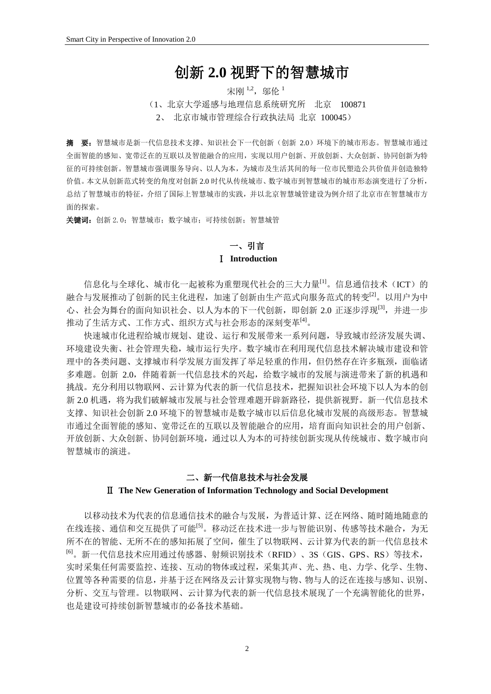# 创新 **2.0** 视野下的智慧城市

## 宋刚 1,2, 邬伦 1

(1、北京大学遥感与地理信息系统研究所 北京 100871

2、 北京市城市管理综合行政执法局 北京 100045)

摘要:智慧城市是新一代信息技术支撑、知识社会下一代创新(创新 2.0)环境下的城市形态。智慧城市通过 全面智能的感知、宽带泛在的互联以及智能融合的应用,实现以用户创新、开放创新、大众创新、协同创新为特 征的可持续创新。智慧城市强调服务导向、以人为本,为城市及生活其间的每一位市民塑造公共价值并创造独特 价值。本文从创新范式转变的角度对创新 2.0 时代从传统城市、数字城市到智慧城市的城市形态演变进行了分析, 总结了智慧城市的特征,介绍了国际上智慧城市的实践,并以北京智慧城管建设为例介绍了北京市在智慧城市方 面的探索。

关键词: 创新 2.0; 智慧城市; 数字城市; 可持续创新; 智慧城管

## 一、引言 Ⅰ **Introduction**

信息化与全球化、城市化一起被称为重塑现代社会的三大力量<sup>[1]</sup>。信息通信技术(ICT)的 融合与发展推动了创新的民主化进程,加速了创新由生产范式向服务范式的转变[2]。以用户为中 心、社会为舞台的面向知识社会、以人为本的下一代创新,即创新 2.0 正逐步浮现[3],并进一步 推动了生活方式、工作方式、组织方式与社会形态的深刻变革[4]。

快速城市化进程给城市规划、建设、运行和发展带来一系列问题,导致城市经济发展失调、 环境建设失衡、社会管理失稳,城市运行失序。数字城市在利用现代信息技术解决城市建设和管 理中的各类问题、支撑城市科学发展方面发挥了举足轻重的作用,但仍然存在许多瓶颈,面临诸 多难题。创新 2.0,伴随着新一代信息技术的兴起,给数字城市的发展与演进带来了新的机遇和 挑战。充分利用以物联网、云计算为代表的新一代信息技术,把握知识社会环境下以人为本的创 新 2.0 机遇,将为我们破解城市发展与社会管理难题开辟新路径,提供新视野。新一代信息技术 支撑、知识社会创新 2.0 环境下的智慧城市是数字城市以后信息化城市发展的高级形态。智慧城 市通过全面智能的感知、宽带泛在的互联以及智能融合的应用,培育面向知识社会的用户创新、 开放创新、大众创新、协同创新环境,通过以人为本的可持续创新实现从传统城市、数字城市向 智慧城市的演进。

## 二、新一代信息技术与社会发展

### Ⅱ **The New Generation of Information Technology and Social Development**

以移动技术为代表的信息通信技术的融合与发展,为普适计算、泛在网络、随时随地随意的 在线连接、通信和交互提供了可能<sup>[5]</sup>。移动泛在技术进一步与智能识别、传感等技术融合,为无 所不在的智能、无所不在的感知拓展了空间,催生了以物联网、云计算为代表的新一代信息技术 [6]。新一代信息技术应用通过传感器、射频识别技术(RFID)、3S(GIS、GPS、RS)等技术, 实时采集任何需要监控、连接、互动的物体或过程,采集其声、光、热、电、力学、化学、生物、 位置等各种需要的信息,并基于泛在网络及云计算实现物与物、物与人的泛在连接与感知、识别、 分析、交互与管理。以物联网、云计算为代表的新一代信息技术展现了一个充满智能化的世界, 也是建设可持续创新智慧城市的必备技术基础。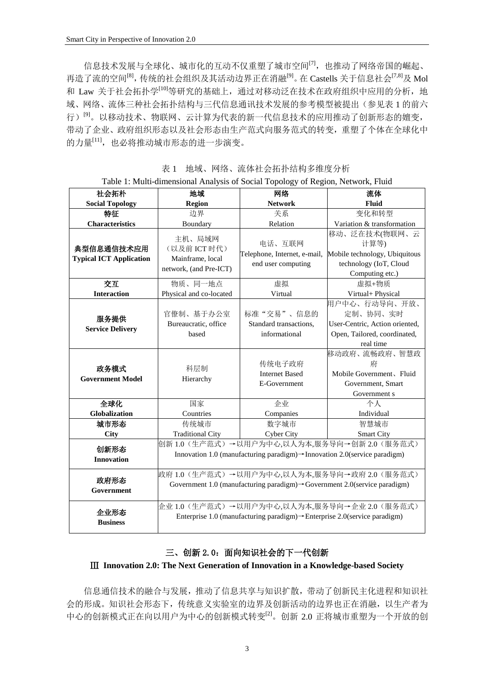信息技术发展与全球化、城市化的互动不仅重塑了城市空间[7],也推动了网络帝国的崛起、 再造了流的空间<sup>[8]</sup>,传统的社会组织及其活动边界正在消融<sup>[9]</sup>。在 Castells 关于信息社会<sup>[7,8]</sup>及 Mol 和 Law 关于社会拓扑学<sup>[10]</sup>等研究的基础上,通过对移动泛在技术在政府组织中应用的分析,地 域、网络、流体三种社会拓扑结构与三代信息通讯技术发展的参考模型被提出(参见表 1 的前六 行)<sup>[9]</sup>。以移动技术、物联网、云计算为代表的新一代信息技术的应用推动了创新形态的嬗变, 带动了企业、政府组织形态以及社会形态由生产范式向服务范式的转变,重塑了个体在全球化中 的力量<sup>[11]</sup>,也必将推动城市形态的进一步演变。

| 社会拓朴                                         | 地域                                                                                                                                     | -- 57 --<br>网络                                               | 流体                                                                                                       |
|----------------------------------------------|----------------------------------------------------------------------------------------------------------------------------------------|--------------------------------------------------------------|----------------------------------------------------------------------------------------------------------|
| <b>Social Topology</b>                       | <b>Region</b>                                                                                                                          | <b>Network</b>                                               | Fluid                                                                                                    |
| 特征                                           | 边界                                                                                                                                     | 关系                                                           | 变化和转型                                                                                                    |
| <b>Characteristics</b>                       | Boundary                                                                                                                               |                                                              | Variation & transformation                                                                               |
| 典型信息通信技术应用<br><b>Typical ICT Application</b> | 主机、局域网<br>(以及前 ICT 时代)<br>Mainframe, local<br>network, (and Pre-ICT)                                                                   | 电话、互联网<br>Telephone, Internet, e-mail,<br>end user computing | 移动、泛在技术(物联网、云<br>计算等)<br>Mobile technology, Ubiquitous<br>technology (IoT, Cloud<br>Computing etc.)      |
| 交互                                           | 物质、同一地点                                                                                                                                | 虚拟                                                           | 虚拟+物质                                                                                                    |
| <b>Interaction</b>                           | Physical and co-located                                                                                                                | Virtual                                                      | Virtual+ Physical                                                                                        |
| 服务提供<br><b>Service Delivery</b>              | 官僚制、基于办公室<br>Bureaucratic, office<br>based                                                                                             | 标准"交易"、信息的<br>Standard transactions,<br>informational        | 用户中心、行动导向、开放、<br>定制、协同、实时<br>User-Centric, Action oriented,<br>Open, Tailored, coordinated,<br>real time |
| 政务模式<br><b>Government Model</b>              | 科层制<br>Hierarchy                                                                                                                       | 传统电子政府<br><b>Internet Based</b><br>E-Government              | 移动政府、流畅政府、智慧政<br>府<br>Mobile Government, Fluid<br>Government, Smart<br>Government s                      |
| 全球化                                          | 国家                                                                                                                                     | 企业                                                           | 个人                                                                                                       |
| <b>Globalization</b>                         | Countries                                                                                                                              | Companies                                                    | Individual                                                                                               |
| 城市形态                                         | 传统城市<br>数字城市                                                                                                                           |                                                              | 智慧城市                                                                                                     |
| City                                         | <b>Traditional City</b><br>Cyber City                                                                                                  |                                                              | Smart City                                                                                               |
| 创新形态<br><b>Innovation</b>                    | 创新1.0(生产范式)→以用户为中心,以人为本,服务导向→创新2.0(服务范式)<br>Innovation 1.0 (manufacturing paradigm) $\rightarrow$ Innovation 2.0 (service paradigm)    |                                                              |                                                                                                          |
| 政府形态<br>Government                           | 政府1.0(生产范式)→以用户为中心,以人为本,服务导向→政府2.0(服务范式)<br>Government 1.0 (manufacturing paradigm) $\rightarrow$ Government 2.0 (service paradigm)    |                                                              |                                                                                                          |
| 企业形态<br><b>Business</b>                      | 企业1.0 (生产范式) →以用户为中心,以人为本,服务导向→企业2.0 (服务范式)<br>Enterprise 1.0 (manufacturing paradigm) $\rightarrow$ Enterprise 2.0 (service paradigm) |                                                              |                                                                                                          |

表 1 地域、网络、流体社会拓扑结构多维度分析 Table 1: Multi-dimensional Analysis of Social Topology of Region, Network, Fluid

# 三、创新 2.0:面向知识社会的下一代创新

#### Ⅲ **Innovation 2.0: The Next Generation of Innovation in a Knowledge-based Society**

信息通信技术的融合与发展,推动了信息共享与知识扩散,带动了创新民主化进程和知识社 会的形成。知识社会形态下,传统意义实验室的边界及创新活动的边界也正在消融,以生产者为 中心的创新模式正在向以用户为中心的创新模式转变[2]。创新 2.0 正将城市重塑为一个开放的创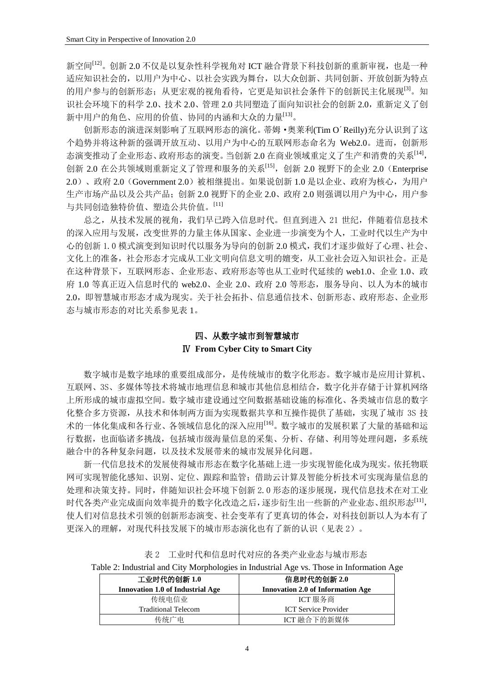新空间<sup>[12]</sup>。创新 2.0 不仅是以复杂性科学视角对 ICT 融合背景下科技创新的重新审视, 也是一种 适应知识社会的,以用户为中心、以社会实践为舞台,以大众创新、共同创新、开放创新为特点 的用户参与的创新形态;从更宏观的视角看待,它更是知识社会条件下的创新民主化展现<sup>[3]</sup>。知 识社会环境下的科学 2.0、技术 2.0、管理 2.0 共同塑造了面向知识社会的创新 2.0,重新定义了创 新中用户的角色、应用的价值、协同的内涵和大众的力量[13]。

创新形态的演进深刻影响了互联网形态的演化。蒂姆·奥莱利(Tim O´Reilly)充分认识到了这 个趋势并将这种新的强调开放互动、以用户为中心的互联网形态命名为 Web2.0。进而,创新形 态演变推动了企业形态、政府形态的演变。当创新 2.0 在商业领域重定义了生产和消费的关系[14],  $\partial \hat{H}$  2.0 在公共领域则重新定义了管理和服务的关系 $^{[15]}$ , 创新 2.0 视野下的企业 2.0 (Enterprise) 2.0)、政府 2.0(Government 2.0)被相继提出。如果说创新 1.0 是以企业、政府为核心,为用户 生产市场产品以及公共产品;创新 2.0 视野下的企业 2.0、政府 2.0 则强调以用户为中心,用户参 与共同创造独特价值、塑造公共价值。[11]

总之,从技术发展的视角,我们早已跨入信息时代。但直到进入 21 世纪,伴随着信息技术 的深入应用与发展,改变世界的力量主体从国家、企业进一步演变为个人,工业时代以生产为中 心的创新 1.0 模式演变到知识时代以服务为导向的创新 2.0 模式,我们才逐步做好了心理、社会、 文化上的准备,社会形态才完成从工业文明向信息文明的嬗变,从工业社会迈入知识社会。正是 在这种背景下,互联网形态、企业形态、政府形态等也从工业时代延续的 web1.0、企业 1.0、政 府 1.0 等真正迈入信息时代的 web2.0、企业 2.0、政府 2.0 等形态, 服务导向、以人为本的城市 2.0,即智慧城市形态才成为现实。关于社会拓扑、信息通信技术、创新形态、政府形态、企业形 态与城市形态的对比关系参见表 1。

# 四、从数字城市到智慧城市 Ⅳ **From Cyber City to Smart City**

数字城市是数字地球的重要组成部分,是传统城市的数字化形态。数字城市是应用计算机、 互联网、3S、多媒体等技术将城市地理信息和城市其他信息相结合,数字化并存储于计算机网络 上所形成的城市虚拟空间。数字城市建设通过空间数据基础设施的标准化、各类城市信息的数字 化整合多方资源,从技术和体制两方面为实现数据共享和互操作提供了基础,实现了城市 3S 技 术的一体化集成和各行业、各领域信息化的深入应用[16]。数字城市的发展积累了大量的基础和运 行数据,也面临诸多挑战,包括城市级海量信息的采集、分析、存储、利用等处理问题,多系统 融合中的各种复杂问题,以及技术发展带来的城市发展异化问题。

新一代信息技术的发展使得城市形态在数字化基础上进一步实现智能化成为现实。依托物联 网可实现智能化感知、识别、定位、跟踪和监管;借助云计算及智能分析技术可实现海量信息的 处理和决策支持。同时,伴随知识社会环境下创新 2.0 形态的逐步展现,现代信息技术在对工业 时代各类产业完成面向效率提升的数字化改造之后,逐步衍生出一些新的产业业态、组织形态[11], 使人们对信息技术引领的创新形态演变、社会变革有了更真切的体会,对科技创新以人为本有了 更深入的理解,对现代科技发展下的城市形态演化也有了新的认识(见表 2)。

|  |  | Table 2: Industrial and City Morphologies in Industrial Age vs. Those in Information Age |  |
|--|--|------------------------------------------------------------------------------------------|--|
|  |  |                                                                                          |  |

| 工业时代的创新 1.0 |                                         | 信息时代的创新 2.0                              |
|-------------|-----------------------------------------|------------------------------------------|
|             | <b>Innovation 1.0 of Industrial Age</b> | <b>Innovation 2.0 of Information Age</b> |
|             | 传统电信业                                   | ICT 服务商                                  |
|             | <b>Traditional Telecom</b>              | <b>ICT</b> Service Provider              |
|             | 传统广电                                    | ICT 融合下的新媒体                              |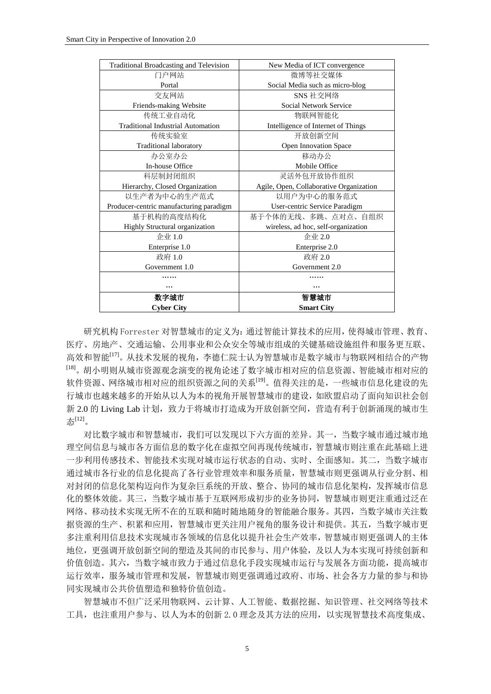| <b>Cyber City</b>                        | <b>Smart City</b>                       |  |
|------------------------------------------|-----------------------------------------|--|
| 数字城市                                     | 智慧城市                                    |  |
|                                          |                                         |  |
|                                          |                                         |  |
| Government 1.0                           | Government 2.0                          |  |
| 政府 1.0                                   | 政府 2.0                                  |  |
| Enterprise 1.0                           | Enterprise 2.0                          |  |
| 企业 1.0                                   | 企业 2.0                                  |  |
| Highly Structural organization           | wireless, ad hoc, self-organization     |  |
| 基于机构的高度结构化                               | 基于个体的无线、多跳、点对点、自组织                      |  |
| Producer-centric manufacturing paradigm  | User-centric Service Paradigm           |  |
| 以生产者为中心的生产范式                             | 以用户为中心的服务范式                             |  |
| Hierarchy, Closed Organization           | Agile, Open, Collaborative Organization |  |
| 科层制封闭组织                                  | 灵活外包开放协作组织                              |  |
| <b>In-house Office</b>                   | Mobile Office                           |  |
| 办公室办公                                    | 移动办公                                    |  |
| Traditional laboratory                   | Open Innovation Space                   |  |
| 传统实验室                                    | 开放创新空间                                  |  |
| <b>Traditional Industrial Automation</b> | Intelligence of Internet of Things      |  |
| 传统工业自动化                                  | 物联网智能化                                  |  |
| Friends-making Website                   | Social Network Service                  |  |
| 交友网站                                     | SNS 社交网络                                |  |
| Portal                                   | Social Media such as micro-blog         |  |
| 门户网站                                     | 微博等社交媒体                                 |  |
| Traditional Broadcasting and Television  | New Media of ICT convergence            |  |

研究机构 Forrester 对智慧城市的定义为:通过智能计算技术的应用,使得城市管理、教育、 医疗、房地产、交通运输、公用事业和公众安全等城市组成的关键基础设施组件和服务更互联、 高效和智能<sup>[17]</sup>。从技术发展的视角,李德仁院士认为智慧城市是数字城市与物联网相结合的产物 [18] 。胡小明则从城市资源观念演变的视角论述了数字城市相对应的信息资源、智能城市相对应的 软件资源、网络城市相对应的组织资源之间的关系<sup>[19]</sup>。值得关注的是, 一些城市信息化建设的先 行城市也越来越多的开始从以人为本的视角开展智慧城市的建设,如欧盟启动了面向知识社会创 新 2.0 的 Living Lab 计划, 致力于将城市打造成为开放创新空间, 营造有利于创新涌现的城市生 态[12] 。

对比数字城市和智慧城市,我们可以发现以下六方面的差异。其一,当数字城市通过城市地 理空间信息与城市各方面信息的数字化在虚拟空间再现传统城市,智慧城市则注重在此基础上进 一步利用传感技术、智能技术实现对城市运行状态的自动、实时、全面感知。其二,当数字城市 通过城市各行业的信息化提高了各行业管理效率和服务质量,智慧城市则更强调从行业分割、相 对封闭的信息化架构迈向作为复杂巨系统的开放、整合、协同的城市信息化架构,发挥城市信息 化的整体效能。其三,当数字城市基于互联网形成初步的业务协同,智慧城市则更注重通过泛在 网络、移动技术实现无所不在的互联和随时随地随身的智能融合服务。其四,当数字城市关注数 据资源的生产、积累和应用,智慧城市更关注用户视角的服务设计和提供。其五,当数字城市更 多注重利用信息技术实现城市各领域的信息化以提升社会生产效率,智慧城市则更强调人的主体 地位,更强调开放创新空间的塑造及其间的市民参与、用户体验,及以人为本实现可持续创新和 价值创造。其六,当数字城市致力于通过信息化手段实现城市运行与发展各方面功能,提高城市 运行效率,服务城市管理和发展,智慧城市则更强调通过政府、市场、社会各方力量的参与和协 同实现城市公共价值塑造和独特价值创造。

智慧城市不但广泛采用物联网、云计算、人工智能、数据挖掘、知识管理、社交网络等技术 工具,也注重用户参与、以人为本的创新 2.0 理念及其方法的应用,以实现智慧技术高度集成、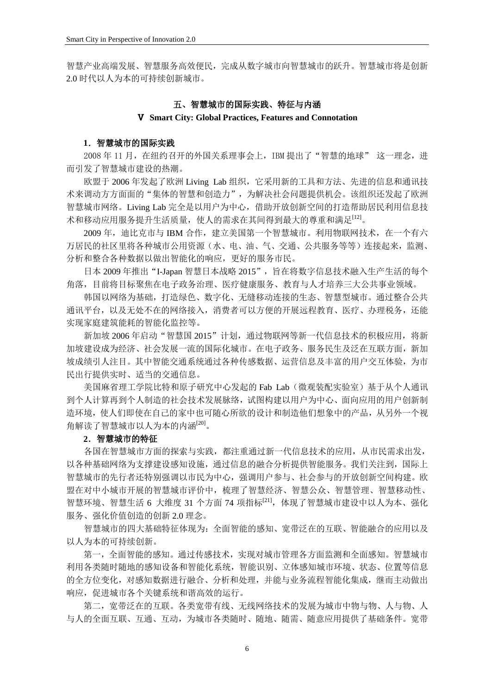智慧产业高端发展、智慧服务高效便民,完成从数字城市向智慧城市的跃升。智慧城市将是创新 2.0 时代以人为本的可持续创新城市。

#### 五、智慧城市的国际实践、特征与内涵

#### Ⅴ **Smart City: Global Practices, Features and Connotation**

#### **1**.智慧城市的国际实践

2008年11月, 在纽约召开的外国关系理事会上, IBM 提出了"智慧的地球" 这一理念, 进 而引发了智慧城市建设的热潮。

欧盟于 2006 年发起了欧洲 Living Lab 组织,它采用新的工具和方法、先进的信息和通讯技 术来调动方方面面的"集体的智慧和创造力",为解决社会问题提供机会。该组织还发起了欧洲 智慧城市网络。Living Lab 完全是以用户为中心,借助开放创新空间的打造帮助居民利用信息技 木和移动应用服务提升生活质量,使人的需求在其间得到最大的尊重和满足[12]。

2009 年,迪比克市与 IBM 合作,建立美国第一个智慧城市。利用物联网技术, 在一个有六 万居民的社区里将各种城市公用资源(水、电、油、气、交通、公共服务等等)连接起来,监测、 分析和整合各种数据以做出智能化的响应,更好的服务市民。

日本 2009 年推出"I-Japan 智慧日本战略 2015",旨在将数字信息技术融入生产生活的每个 角落,目前将目标聚焦在电子政务治理、医疗健康服务、教育与人才培养三大公共事业领域。

韩国以网络为基础,打造绿色、数字化、无缝移动连接的生态、智慧型城市。通过整合公共 通讯平台,以及无处不在的网络接入,消费者可以方便的开展远程教育、医疗、办理税务,还能 实现家庭建筑能耗的智能化监控等。

新加坡 2006年启动"智慧国 2015"计划,通过物联网等新一代信息技术的积极应用,将新 加坡建设成为经济、社会发展一流的国际化城市。在电子政务、服务民生及泛在互联方面,新加 坡成绩引人注目。其中智能交通系统通过各种传感数据、运营信息及丰富的用户交互体验,为市 民出行提供实时、适当的交通信息。

美国麻省理工学院比特和原子研究中心发起的 Fab Lab(微观装配实验室)基于从个人通讯 到个人计算再到个人制造的社会技术发展脉络,试图构建以用户为中心、面向应用的用户创新制 造环境,使人们即使在自己的家中也可随心所欲的设计和制造他们想象中的产品,从另外一个视 角解读了智慧城市以人为本的内涵[20]。

#### **2**.智慧城市的特征

各国在智慧城市方面的探索与实践,都注重通过新一代信息技术的应用,从市民需求出发, 以各种基础网络为支撑建设感知设施,通过信息的融合分析提供智能服务。我们关注到,国际上 智慧城市的先行者还特别强调以市民为中心,强调用户参与、社会参与的开放创新空间构建。欧 盟在对中小城市开展的智慧城市评价中,梳理了智慧经济、智慧公众、智慧管理、智慧移动性、 智慧环境、智慧生活 6 大维度 31 个方面 74 项指标<sup>[21]</sup>,体现了智慧城市建设中以人为本、强化 服务、强化价值创造的创新 2.0 理念。

智慧城市的四大基础特征体现为:全面智能的感知、宽带泛在的互联、智能融合的应用以及 以人为本的可持续创新。

第一,全面智能的感知。通过传感技术,实现对城市管理各方面监测和全面感知。智慧城市 利用各类随时随地的感知设备和智能化系统,智能识别、立体感知城市环境、状态、位置等信息 的全方位变化,对感知数据进行融合、分析和处理,并能与业务流程智能化集成,继而主动做出 响应,促进城市各个关键系统和谐高效的运行。

第二,宽带泛在的互联。各类宽带有线、无线网络技术的发展为城市中物与物、人与物、人 与人的全面互联、互通、互动,为城市各类随时、随地、随需、随意应用提供了基础条件。宽带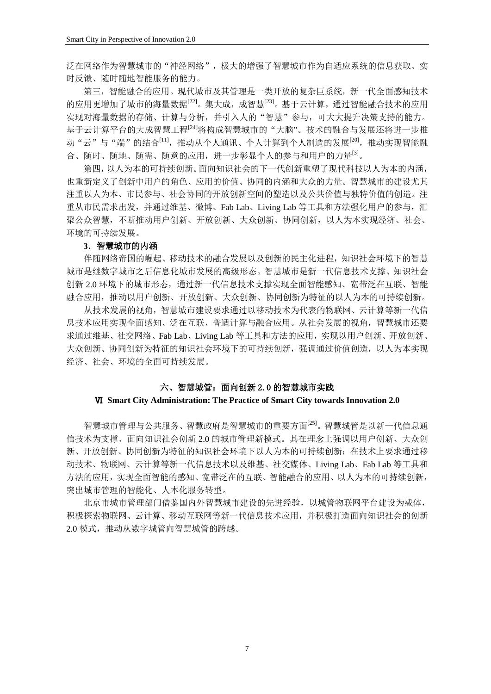泛在网络作为智慧城市的"神经网络",极大的增强了智慧城市作为自适应系统的信息获取、实 时反馈、随时随地智能服务的能力。

第三,智能融合的应用。现代城市及其管理是一类开放的复杂巨系统,新一代全面感知技术 的应用更增加了城市的海量数据[22]。集大成,成智慧[23]。基于云计算,通过智能融合技术的应用 实现对海量数据的存储、计算与分析,并引入人的"智慧"参与,可大大提升决策支持的能力。 基于云计算平台的大成智慧工程<sup>[24]</sup>将构成智慧城市的"大脑"。技术的融合与发展还将进一步推 动"云"与"端"的结合<sup>[11]</sup>,推动从个人通讯、个人计算到个人制造的发展<sup>[20]</sup>,推动实现智能融 合、随时、随地、随需、随意的应用,进一步彰显个人的参与和用户的力量[3]。

第四,以人为本的可持续创新。面向知识社会的下一代创新重塑了现代科技以人为本的内涵, 也重新定义了创新中用户的角色、应用的价值、协同的内涵和大众的力量。智慧城市的建设尤其 注重以人为本、市民参与、社会协同的开放创新空间的塑造以及公共价值与独特价值的创造。注 重从市民需求出发,并通过维基、微博、Fab Lab、Living Lab 等工具和方法强化用户的参与,汇 聚公众智慧,不断推动用户创新、开放创新、大众创新、协同创新,以人为本实现经济、社会、 环境的可持续发展。

#### **3**.智慧城市的内涵

伴随网络帝国的崛起、移动技术的融合发展以及创新的民主化进程,知识社会环境下的智慧 城市是继数字城市之后信息化城市发展的高级形态。智慧城市是新一代信息技术支撑、知识社会 创新 2.0 环境下的城市形态,通过新一代信息技术支撑实现全面智能感知、宽带泛在互联、智能 融合应用,推动以用户创新、开放创新、大众创新、协同创新为特征的以人为本的可持续创新。

从技术发展的视角,智慧城市建设要求通过以移动技术为代表的物联网、云计算等新一代信 息技术应用实现全面感知、泛在互联、普适计算与融合应用。从社会发展的视角,智慧城市还要 求通过维基、社交网络、Fab Lab、Living Lab 等工具和方法的应用,实现以用户创新、开放创新、 大众创新、协同创新为特征的知识社会环境下的可持续创新,强调通过价值创造,以人为本实现 经济、社会、环境的全面可持续发展。

#### 六、智慧城管:面向创新 2.0 的智慧城市实践

#### Ⅵ **Smart City Administration: The Practice of Smart City towards Innovation 2.0**

智慧城市管理与公共服务、智慧政府是智慧城市的重要方面<sup>[25]</sup>。智慧城管是以新一代信息通 信技术为支撑、面向知识社会创新 2.0 的城市管理新模式。其在理念上强调以用户创新、大众创 新、开放创新、协同创新为特征的知识社会环境下以人为本的可持续创新;在技术上要求通过移 动技术、物联网、云计算等新一代信息技术以及维基、社交媒体、Living Lab、Fab Lab 等工具和 方法的应用,实现全面智能的感知、宽带泛在的互联、智能融合的应用、以人为本的可持续创新, 突出城市管理的智能化、人本化服务转型。

北京市城市管理部门借鉴国内外智慧城市建设的先进经验,以城管物联网平台建设为载体, 积极探索物联网、云计算、移动互联网等新一代信息技术应用,并积极打造面向知识社会的创新 2.0 模式,推动从数字城管向智慧城管的跨越。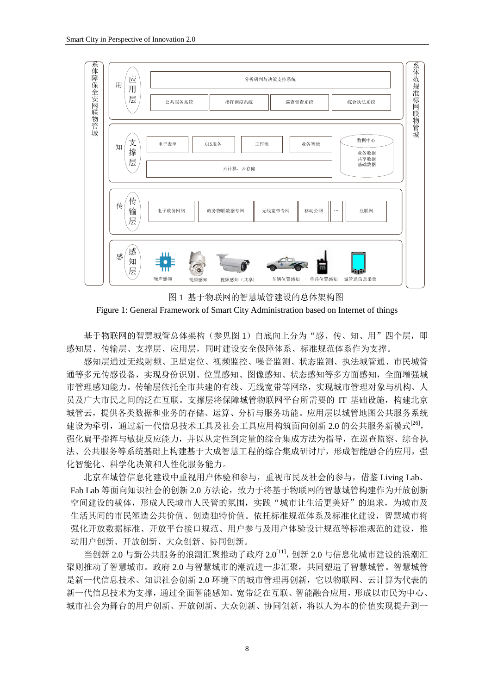

图 1 基于物联网的智慧城管建设的总体架构图 Figure 1: General Framework of Smart City Administration based on Internet of things

基于物联网的智慧城管总体架构(参见图 1)自底向上分为"感、传、知、用"四个层,即 感知层、传输层、支撑层、应用层,同时建设安全保障体系、标准规范体系作为支撑。

感知层通过无线射频、卫星定位、视频监控、噪音监测、状态监测、执法城管通、市民城管 通等多元传感设备,实现身份识别、位置感知、图像感知、状态感知等多方面感知,全面增强城 市管理感知能力。传输层依托全市共建的有线、无线宽带等网络,实现城市管理对象与机构、人 员及广大市民之间的泛在互联。支撑层将保障城管物联网平台所需要的 IT 基础设施,构建北京 城管云,提供各类数据和业务的存储、运算、分析与服务功能。应用层以城管地图公共服务系统 建设为牵引,通过新一代信息技术工具及社会工具应用构筑面向创新 2.0 的公共服务新模式<sup>[26]</sup>, 强化扁平指挥与敏捷反应能力,并以从定性到定量的综合集成方法为指导,在巡查监察、综合执 法、公共服务等系统基础上构建基于大成智慧工程的综合集成研讨厅,形成智能融合的应用,强 化智能化、科学化决策和人性化服务能力。

北京在城管信息化建设中重视用户体验和参与,重视市民及社会的参与,借鉴 Living Lab、 Fab Lab 等面向知识社会的创新 2.0 方法论,致力于将基于物联网的智慧城管构建作为开放创新 空间建设的载体,形成人民城市人民管的氛围,实践"城市让生活更美好"的追求,为城市及 生活其间的市民塑造公共价值、创造独特价值。依托标准规范体系及标准化建设,智慧城市将 强化开放数据标准、开放平台接口规范、用户参与及用户体验设计规范等标准规范的建设,推 动用户创新、开放创新、大众创新、协同创新。

当创新 2.0 与新公共服务的浪潮汇聚推动了政府 2.0[11], 创新 2.0 与信息化城市建设的浪潮汇 聚则推动了智慧城市。政府 2.0 与智慧城市的潮流进一步汇聚,共运同塑造了智慧城管。智慧城管 是新一代信息技术、知识社会创新 2.0 环境下的城市管理再创新,它以物联网、云计算为代表的 新一代信息技术为支撑,通过全面智能感知、宽带泛在互联、智能融合应用,形成以市民为中心、 城市社会为舞台的用户创新、开放创新、大众创新、协同创新,将以人为本的价值实现提升到一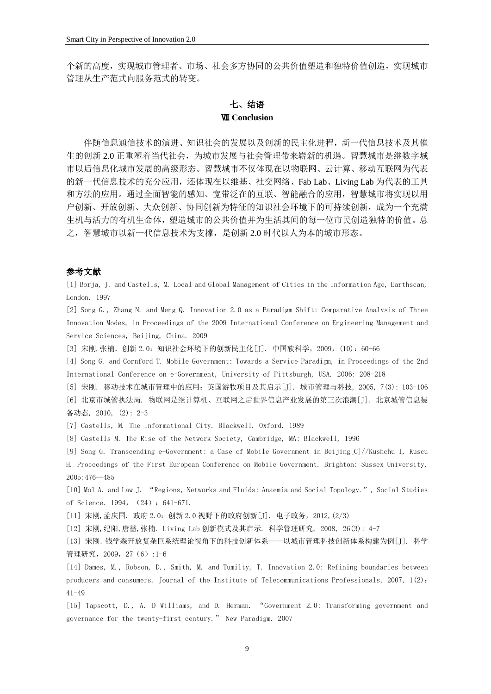个新的高度,实现城市管理者、市场、社会多方协同的公共价值塑造和独特价值创造,实现城市 管理从生产范式向服务范式的转变。

## 七、结语 Ⅶ **Conclusion**

伴随信息通信技术的演进、知识社会的发展以及创新的民主化进程,新一代信息技术及其催 生的创新 2.0 正重塑着当代社会,为城市发展与社会管理带来崭新的机遇。智慧城市是继数字城 市以后信息化城市发展的高级形态。智慧城市不仅体现在以物联网、云计算、移动互联网为代表 的新一代信息技术的充分应用,还体现在以维基、社交网络、Fab Lab、Living Lab 为代表的工具 和方法的应用。通过全面智能的感知、宽带泛在的互联、智能融合的应用,智慧城市将实现以用 户创新、开放创新、大众创新、协同创新为特征的知识社会环境下的可持续创新,成为一个充满 生机与活力的有机生命体,塑造城市的公共价值并为生活其间的每一位市民创造独特的价值。总 之,智慧城市以新一代信息技术为支撑,是创新 2.0 时代以人为本的城市形态。

#### 参考文献

[1] Borja, J. and Castells, M. Local and Global Management of Cities in the Information Age, Earthscan, London. 1997

[2] Song G., Zhang N. and Meng Q. Innovation 2.0 as a Paradigm Shift: Comparative Analysis of Three Innovation Modes, in Proceedings of the 2009 International Conference on Engineering Management and Service Sciences, Beijing, China. 2009

[3] 宋刚,张楠.创新 2.0:知识社会环境下的创新民主化[J]. 中国软科学,2009,(10):60-66

[4] Song G. and Cornford T. Mobile Government: Towards a Service Paradigm, in Proceedings of the 2nd International Conference on e-Government, University of Pittsburgh, USA. 2006: 208-218

[5] 宋刚. 移动技术在城市管理中的应用:英国游牧项目及其启示[J]. 城市管理与科技, 2005, 7(3): 103-106 [6] 北京市城管执法局. 物联网是继计算机、互联网之后世界信息产业发展的第三次浪潮[J]. 北京城管信息装 备动态, 2010, (2): 2-3

[7] Castells, M. The Informational City. Blackwell. Oxford. 1989

[8] Castells M. The Rise of the Network Society, Cambridge, MA: Blackwell, 1996

[9] Song G. Transcending e-Government: a Case of Mobile Government in Beijing[C]//Kushchu I, Kuscu H. Proceedings of the First European Conference on Mobile Government. Brighton: Sussex University, 2005:476—485

[10] Mol A. and Law J. "Regions, Networks and Fluids: Anaemia and Social Topology.", Social Studies of Science. 1994, (24): 641-671.

[11] 宋刚,孟庆国. 政府 2.0:创新 2.0 视野下的政府创新[J]. 电子政务,2012,(2/3)

[12] 宋刚,纪阳,唐蔷,张楠. Living Lab 创新模式及其启示. 科学管理研究, 2008, 26(3): 4-7

[13] 宋刚.钱学森开放复杂巨系统理论视角下的科技创新体系——以城市管理科技创新体系构建为例[J]. 科学 管理研究,2009,27(6):1-6

[14] Dames, M., Robson, D., Smith, M. and Tumilty, T. Innovation 2.0: Refining boundaries between producers and consumers. Journal of the Institute of Telecommunications Professionals, 2007, 1(2): 41-49

[15] Tapscott, D., A. D Williams, and D. Herman. "Government 2.0: Transforming government and governance for the twenty-first century." New Paradigm. 2007